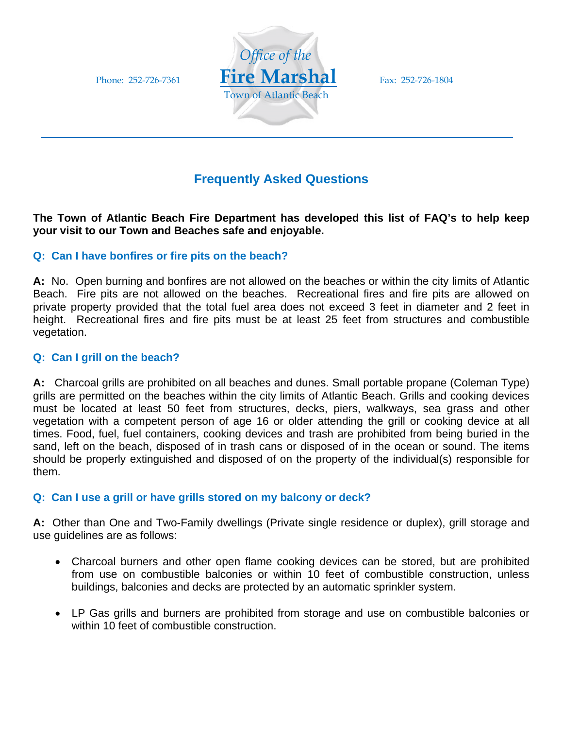

# **Frequently Asked Questions**

**The Town of Atlantic Beach Fire Department has developed this list of FAQ's to help keep your visit to our Town and Beaches safe and enjoyable.** 

## **Q: Can I have bonfires or fire pits on the beach?**

**A:** No. Open burning and bonfires are not allowed on the beaches or within the city limits of Atlantic Beach. Fire pits are not allowed on the beaches. Recreational fires and fire pits are allowed on private property provided that the total fuel area does not exceed 3 feet in diameter and 2 feet in height. Recreational fires and fire pits must be at least 25 feet from structures and combustible vegetation.

## **Q: Can I grill on the beach?**

**A:** Charcoal grills are prohibited on all beaches and dunes. Small portable propane (Coleman Type) grills are permitted on the beaches within the city limits of Atlantic Beach. Grills and cooking devices must be located at least 50 feet from structures, decks, piers, walkways, sea grass and other vegetation with a competent person of age 16 or older attending the grill or cooking device at all times. Food, fuel, fuel containers, cooking devices and trash are prohibited from being buried in the sand, left on the beach, disposed of in trash cans or disposed of in the ocean or sound. The items should be properly extinguished and disposed of on the property of the individual(s) responsible for them.

## **Q: Can I use a grill or have grills stored on my balcony or deck?**

**A:** Other than One and Two-Family dwellings (Private single residence or duplex), grill storage and use guidelines are as follows:

- Charcoal burners and other open flame cooking devices can be stored, but are prohibited from use on combustible balconies or within 10 feet of combustible construction, unless buildings, balconies and decks are protected by an automatic sprinkler system.
- LP Gas grills and burners are prohibited from storage and use on combustible balconies or within 10 feet of combustible construction.